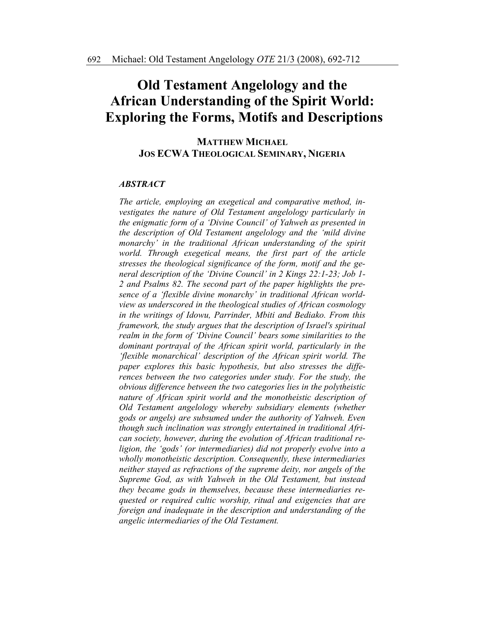# **Old Testament Angelology and the African Understanding of the Spirit World: Exploring the Forms, Motifs and Descriptions**

#### **MATTHEW MICHAEL JOS ECWA THEOLOGICAL SEMINARY, NIGERIA**

#### *ABSTRACT*

*The article, employing an exegetical and comparative method, investigates the nature of Old Testament angelology particularly in the enigmatic form of a 'Divine Council' of Yahweh as presented in the description of Old Testament angelology and the 'mild divine monarchy' in the traditional African understanding of the spirit world. Through exegetical means, the first part of the article stresses the theological significance of the form, motif and the general description of the 'Divine Council' in 2 Kings 22:1-23; Job 1- 2 and Psalms 82. The second part of the paper highlights the presence of a 'flexible divine monarchy' in traditional African worldview as underscored in the theological studies of African cosmology in the writings of Idowu, Parrinder, Mbiti and Bediako. From this framework, the study argues that the description of Israel's spiritual realm in the form of 'Divine Council' bears some similarities to the dominant portrayal of the African spirit world, particularly in the 'flexible monarchical' description of the African spirit world. The paper explores this basic hypothesis, but also stresses the differences between the two categories under study. For the study, the obvious difference between the two categories lies in the polytheistic nature of African spirit world and the monotheistic description of Old Testament angelology whereby subsidiary elements (whether gods or angels) are subsumed under the authority of Yahweh. Even though such inclination was strongly entertained in traditional African society, however, during the evolution of African traditional religion, the 'gods' (or intermediaries) did not properly evolve into a wholly monotheistic description. Consequently, these intermediaries neither stayed as refractions of the supreme deity, nor angels of the Supreme God, as with Yahweh in the Old Testament, but instead they became gods in themselves, because these intermediaries requested or required cultic worship, ritual and exigencies that are foreign and inadequate in the description and understanding of the angelic intermediaries of the Old Testament.*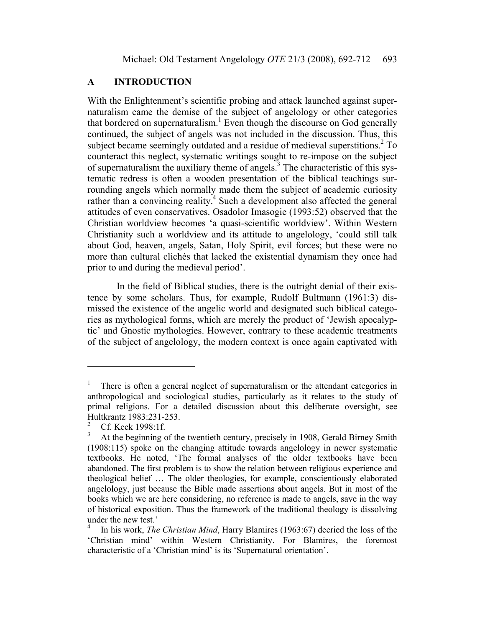# **A INTRODUCTION**

With the Enlightenment's scientific probing and attack launched against supernaturalism came the demise of the subject of angelology or other categories that bordered on supernaturalism.<sup>1</sup> Even though the discourse on God generally continued, the subject of angels was not included in the discussion. Thus, this subject became seemingly outdated and a residue of medieval superstitions.<sup>2</sup> To counteract this neglect, systematic writings sought to re-impose on the subject of supernaturalism the auxiliary theme of angels.3 The characteristic of this systematic redress is often a wooden presentation of the biblical teachings surrounding angels which normally made them the subject of academic curiosity rather than a convincing reality.<sup>4</sup> Such a development also affected the general attitudes of even conservatives. Osadolor Imasogie (1993:52) observed that the Christian worldview becomes 'a quasi-scientific worldview'. Within Western Christianity such a worldview and its attitude to angelology, 'could still talk about God, heaven, angels, Satan, Holy Spirit, evil forces; but these were no more than cultural clichés that lacked the existential dynamism they once had prior to and during the medieval period'.

 In the field of Biblical studies, there is the outright denial of their existence by some scholars. Thus, for example, Rudolf Bultmann (1961:3) dismissed the existence of the angelic world and designated such biblical categories as mythological forms, which are merely the product of 'Jewish apocalyptic' and Gnostic mythologies. However, contrary to these academic treatments of the subject of angelology, the modern context is once again captivated with

<sup>1</sup> There is often a general neglect of supernaturalism or the attendant categories in anthropological and sociological studies, particularly as it relates to the study of primal religions. For a detailed discussion about this deliberate oversight, see Hultkrantz 1983:231-253.

<sup>2</sup> Cf. Keck 1998:1f.

<sup>3</sup> At the beginning of the twentieth century, precisely in 1908, Gerald Birney Smith (1908:115) spoke on the changing attitude towards angelology in newer systematic textbooks. He noted, 'The formal analyses of the older textbooks have been abandoned. The first problem is to show the relation between religious experience and theological belief … The older theologies, for example, conscientiously elaborated angelology, just because the Bible made assertions about angels. But in most of the books which we are here considering, no reference is made to angels, save in the way of historical exposition. Thus the framework of the traditional theology is dissolving under the new test.'

<sup>4</sup> In his work, *The Christian Mind*, Harry Blamires (1963:67) decried the loss of the 'Christian mind' within Western Christianity. For Blamires, the foremost characteristic of a 'Christian mind' is its 'Supernatural orientation'.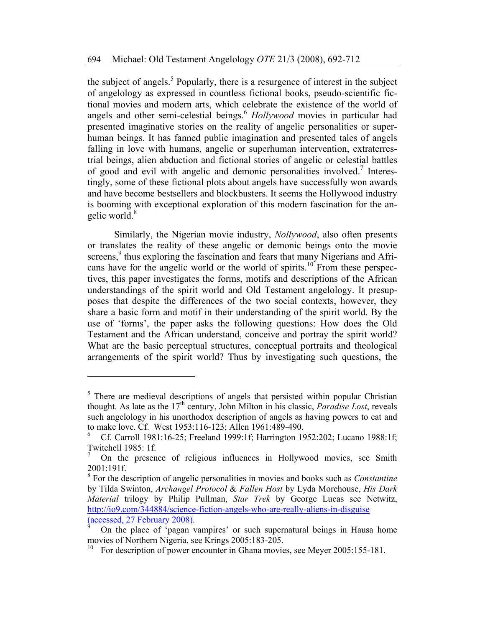the subject of angels.<sup>5</sup> Popularly, there is a resurgence of interest in the subject of angelology as expressed in countless fictional books, pseudo-scientific fictional movies and modern arts, which celebrate the existence of the world of angels and other semi-celestial beings.<sup>6</sup> *Hollywood* movies in particular had presented imaginative stories on the reality of angelic personalities or superhuman beings. It has fanned public imagination and presented tales of angels falling in love with humans, angelic or superhuman intervention, extraterrestrial beings, alien abduction and fictional stories of angelic or celestial battles of good and evil with angelic and demonic personalities involved.<sup>7</sup> Interestingly, some of these fictional plots about angels have successfully won awards and have become bestsellers and blockbusters. It seems the Hollywood industry is booming with exceptional exploration of this modern fascination for the angelic world. $8$ 

Similarly, the Nigerian movie industry, *Nollywood*, also often presents or translates the reality of these angelic or demonic beings onto the movie screens,<sup>9</sup> thus exploring the fascination and fears that many Nigerians and Africans have for the angelic world or the world of spirits.<sup>10</sup> From these perspectives, this paper investigates the forms, motifs and descriptions of the African understandings of the spirit world and Old Testament angelology. It presupposes that despite the differences of the two social contexts, however, they share a basic form and motif in their understanding of the spirit world. By the use of 'forms', the paper asks the following questions: How does the Old Testament and the African understand, conceive and portray the spirit world? What are the basic perceptual structures, conceptual portraits and theological arrangements of the spirit world? Thus by investigating such questions, the

<sup>&</sup>lt;sup>5</sup> There are medieval descriptions of angels that persisted within popular Christian thought. As late as the  $17<sup>th</sup>$  century, John Milton in his classic, *Paradise Lost*, reveals such angelology in his unorthodox description of angels as having powers to eat and to make love. Cf. West 1953:116-123; Allen 1961:489-490.

<sup>6</sup> Cf. Carroll 1981:16-25; Freeland 1999:1f; Harrington 1952:202; Lucano 1988:1f; Twitchell 1985: 1f.

<sup>7</sup> On the presence of religious influences in Hollywood movies, see Smith 2001:191f.

<sup>8</sup> For the description of angelic personalities in movies and books such as *Constantine* by Tilda Swinton, *Archangel Protocol* & *Fallen Host* by Lyda Morehouse, *His Dark Material* trilogy by Philip Pullman, *Star Trek* by George Lucas see Netwitz, http://io9.com/344884/science-fiction-angels-who-are-really-aliens-in-disguise (accessed, 27 February 2008).

<sup>9</sup> On the place of 'pagan vampires' or such supernatural beings in Hausa home movies of Northern Nigeria, see Krings 2005:183-205.

<sup>10</sup> For description of power encounter in Ghana movies, see Meyer 2005:155-181.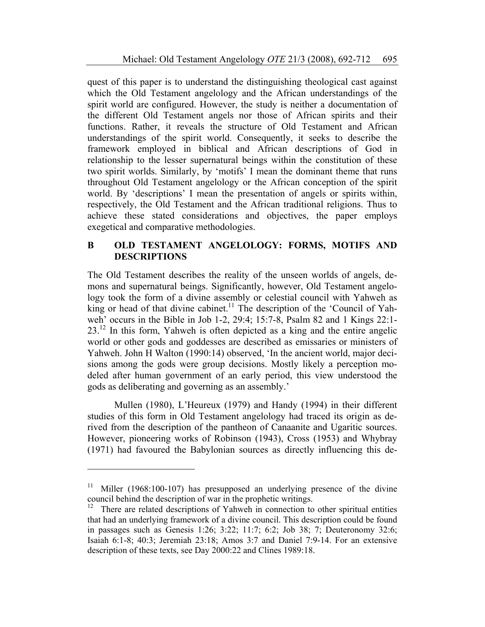quest of this paper is to understand the distinguishing theological cast against which the Old Testament angelology and the African understandings of the spirit world are configured. However, the study is neither a documentation of the different Old Testament angels nor those of African spirits and their functions. Rather, it reveals the structure of Old Testament and African understandings of the spirit world. Consequently, it seeks to describe the framework employed in biblical and African descriptions of God in relationship to the lesser supernatural beings within the constitution of these two spirit worlds. Similarly, by 'motifs' I mean the dominant theme that runs throughout Old Testament angelology or the African conception of the spirit world. By 'descriptions' I mean the presentation of angels or spirits within, respectively, the Old Testament and the African traditional religions. Thus to achieve these stated considerations and objectives, the paper employs exegetical and comparative methodologies.

#### **B OLD TESTAMENT ANGELOLOGY: FORMS, MOTIFS AND DESCRIPTIONS**

The Old Testament describes the reality of the unseen worlds of angels, demons and supernatural beings. Significantly, however, Old Testament angelology took the form of a divine assembly or celestial council with Yahweh as  $k$ ing or head of that divine cabinet.<sup>11</sup> The description of the 'Council of Yahweh' occurs in the Bible in Job 1-2, 29:4; 15:7-8, Psalm 82 and 1 Kings 22:1- 23.12 In this form, Yahweh is often depicted as a king and the entire angelic world or other gods and goddesses are described as emissaries or ministers of Yahweh. John H Walton (1990:14) observed, 'In the ancient world, major decisions among the gods were group decisions. Mostly likely a perception modeled after human government of an early period, this view understood the gods as deliberating and governing as an assembly.'

Mullen (1980), L'Heureux (1979) and Handy (1994) in their different studies of this form in Old Testament angelology had traced its origin as derived from the description of the pantheon of Canaanite and Ugaritic sources. However, pioneering works of Robinson (1943), Cross (1953) and Whybray (1971) had favoured the Babylonian sources as directly influencing this de-

<sup>&</sup>lt;sup>11</sup> Miller (1968:100-107) has presupposed an underlying presence of the divine council behind the description of war in the prophetic writings.

<sup>&</sup>lt;sup>12</sup> There are related descriptions of Yahweh in connection to other spiritual entities that had an underlying framework of a divine council. This description could be found in passages such as Genesis 1:26; 3:22; 11:7; 6:2; Job 38; 7; Deuteronomy 32:6; Isaiah 6:1-8; 40:3; Jeremiah 23:18; Amos 3:7 and Daniel 7:9-14. For an extensive description of these texts, see Day 2000:22 and Clines 1989:18.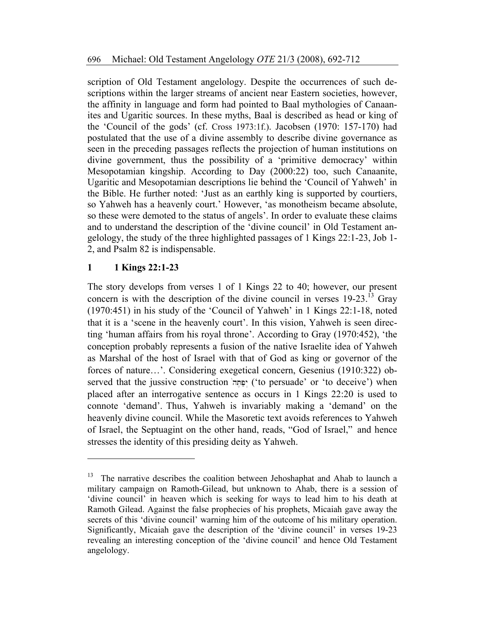scription of Old Testament angelology. Despite the occurrences of such descriptions within the larger streams of ancient near Eastern societies, however, the affinity in language and form had pointed to Baal mythologies of Canaanites and Ugaritic sources. In these myths, Baal is described as head or king of the 'Council of the gods' (cf. Cross 1973:1f.). Jacobsen (1970: 157-170) had postulated that the use of a divine assembly to describe divine governance as seen in the preceding passages reflects the projection of human institutions on divine government, thus the possibility of a 'primitive democracy' within Mesopotamian kingship. According to Day (2000:22) too, such Canaanite, Ugaritic and Mesopotamian descriptions lie behind the 'Council of Yahweh' in the Bible. He further noted: 'Just as an earthly king is supported by courtiers, so Yahweh has a heavenly court.' However, 'as monotheism became absolute, so these were demoted to the status of angels'. In order to evaluate these claims and to understand the description of the 'divine council' in Old Testament angelology, the study of the three highlighted passages of 1 Kings 22:1-23, Job 1- 2, and Psalm 82 is indispensable.

## **1 1 Kings 22:1-23**

 $\overline{\phantom{a}}$ 

The story develops from verses 1 of 1 Kings 22 to 40; however, our present concern is with the description of the divine council in verses  $19-23$ .<sup>13</sup> Gray (1970:451) in his study of the 'Council of Yahweh' in 1 Kings 22:1-18, noted that it is a 'scene in the heavenly court'. In this vision, Yahweh is seen directing 'human affairs from his royal throne'. According to Gray (1970:452), 'the conception probably represents a fusion of the native Israelite idea of Yahweh as Marshal of the host of Israel with that of God as king or governor of the forces of nature…'. Considering exegetical concern, Gesenius (1910:322) observed that the jussive construction 'יַפְּחָה' ('to persuade' or 'to deceive') when placed after an interrogative sentence as occurs in 1 Kings 22:20 is used to connote 'demand'. Thus, Yahweh is invariably making a 'demand' on the heavenly divine council. While the Masoretic text avoids references to Yahweh of Israel, the Septuagint on the other hand, reads, "God of Israel," and hence stresses the identity of this presiding deity as Yahweh.

<sup>&</sup>lt;sup>13</sup> The narrative describes the coalition between Jehoshaphat and Ahab to launch a military campaign on Ramoth-Gilead, but unknown to Ahab, there is a session of 'divine council' in heaven which is seeking for ways to lead him to his death at Ramoth Gilead. Against the false prophecies of his prophets, Micaiah gave away the secrets of this 'divine council' warning him of the outcome of his military operation. Significantly, Micaiah gave the description of the 'divine council' in verses 19-23 revealing an interesting conception of the 'divine council' and hence Old Testament angelology.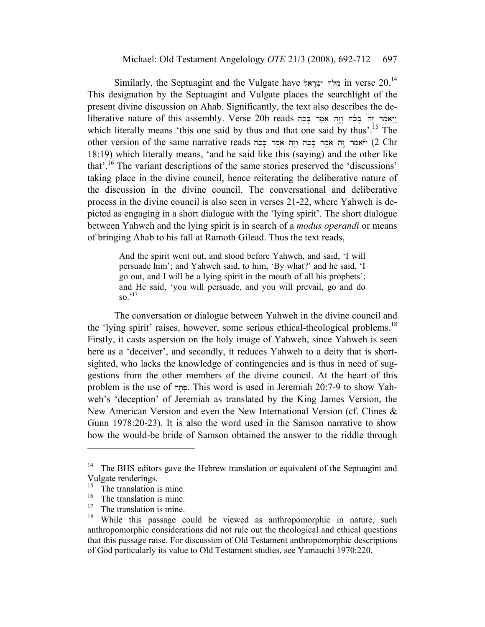Similarly, the Septuagint and the Vulgate have  $\gamma$ ולך ישראל in verse 20.<sup>14</sup> This designation by the Septuagint and Vulgate places the searchlight of the present divine discussion on Ahab. Significantly, the text also describes the deliberative nature of this assembly. Verse 20b reads ויאמר הל בלה וזה אמר בכה which literally means 'this one said by thus and that one said by thus'.<sup>15</sup> The other version of the same narrative reads וְהֵה אֹמֵר כֹּכָה וְזָה אֹמֵר כִּכְה וְזָה וֹאֲמִר בִּחָ 18:19) which literally means, 'and he said like this (saying) and the other like that'.16 The variant descriptions of the same stories preserved the 'discussions' taking place in the divine council, hence reiterating the deliberative nature of the discussion in the divine council. The conversational and deliberative process in the divine council is also seen in verses 21-22, where Yahweh is depicted as engaging in a short dialogue with the 'lying spirit'. The short dialogue between Yahweh and the lying spirit is in search of a *modus operandi* or means of bringing Ahab to his fall at Ramoth Gilead. Thus the text reads,

> And the spirit went out, and stood before Yahweh, and said, 'I will persuade him'; and Yahweh said, to him, 'By what?' and he said, 'I go out, and I will be a lying spirit in the mouth of all his prophets'; and He said, 'you will persuade, and you will prevail, go and do  $\mathrm{so.}^{\cdot 17}$

The conversation or dialogue between Yahweh in the divine council and the 'lying spirit' raises, however, some serious ethical-theological problems.<sup>18</sup> Firstly, it casts aspersion on the holy image of Yahweh, since Yahweh is seen here as a 'deceiver', and secondly, it reduces Yahweh to a deity that is shortsighted, who lacks the knowledge of contingencies and is thus in need of suggestions from the other members of the divine council. At the heart of this problem is the use of פְּחָה. This word is used in Jeremiah 20:7-9 to show Yahweh's 'deception' of Jeremiah as translated by the King James Version, the New American Version and even the New International Version (cf. Clines & Gunn 1978:20-23). It is also the word used in the Samson narrative to show how the would-be bride of Samson obtained the answer to the riddle through

<sup>&</sup>lt;sup>14</sup> The BHS editors gave the Hebrew translation or equivalent of the Septuagint and Vulgate renderings.<br> $^{15}$  The translation is

 $^{15}$  The translation is mine.

 $16 \n\text{The translation is mine.}$ 

 $^{17}$  The translation is mine.

While this passage could be viewed as anthropomorphic in nature, such anthropomorphic considerations did not rule out the theological and ethical questions that this passage raise. For discussion of Old Testament anthropomorphic descriptions of God particularly its value to Old Testament studies, see Yamauchi 1970:220.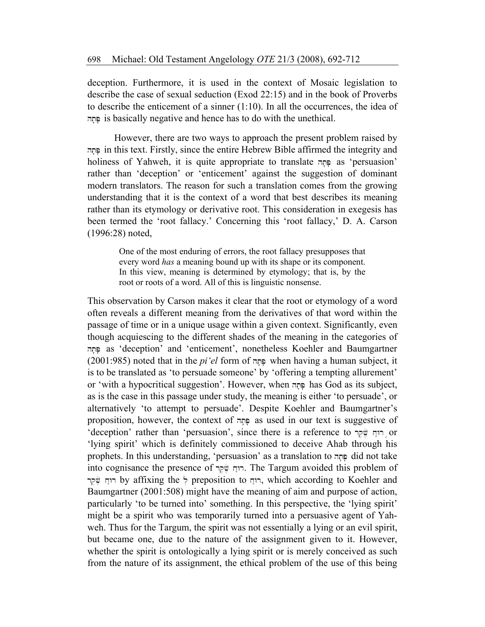deception. Furthermore, it is used in the context of Mosaic legislation to describe the case of sexual seduction (Exod 22:15) and in the book of Proverbs to describe the enticement of a sinner (1:10). In all the occurrences, the idea of ht 'P' is basically negative and hence has to do with the unethical.

However, there are two ways to approach the present problem raised by ht 'P' in this text. Firstly, since the entire Hebrew Bible affirmed the integrity and holiness of Yahweh, it is quite appropriate to translate and as 'persuasion' rather than 'deception' or 'enticement' against the suggestion of dominant modern translators. The reason for such a translation comes from the growing understanding that it is the context of a word that best describes its meaning rather than its etymology or derivative root. This consideration in exegesis has been termed the 'root fallacy.' Concerning this 'root fallacy,' D. A. Carson (1996:28) noted,

One of the most enduring of errors, the root fallacy presupposes that every word *has* a meaning bound up with its shape or its component. In this view, meaning is determined by etymology; that is, by the root or roots of a word. All of this is linguistic nonsense.

This observation by Carson makes it clear that the root or etymology of a word often reveals a different meaning from the derivatives of that word within the passage of time or in a unique usage within a given context. Significantly, even though acquiescing to the different shades of the meaning in the categories of ht 'P' as 'deception' and 'enticement', nonetheless Koehler and Baumgartner (2001:985) noted that in the *pi'el* form of ht 'P' when having a human subject, it is to be translated as 'to persuade someone' by 'offering a tempting allurement' or 'with a hypocritical suggestion'. However, when  $\pi$  has God as its subject, as is the case in this passage under study, the meaning is either 'to persuade', or alternatively 'to attempt to persuade'. Despite Koehler and Baumgartner's proposition, however, the context of <sub>ה</sub>תה as used in our text is suggestive of 'deception' rather than 'persuasion', since there is a reference to רוּחַ שֵׁקַר or 'lying spirit' which is definitely commissioned to deceive Ahab through his prophets. In this understanding, 'persuasion' as a translation to פְּחָה did not take into cognisance the presence of רוּח שׁׁקר. The Targum avoided this problem of rtin, which according to Koehler and רוּח שׁקר, which according to Koehler and Baumgartner (2001:508) might have the meaning of aim and purpose of action, particularly 'to be turned into' something. In this perspective, the 'lying spirit' might be a spirit who was temporarily turned into a persuasive agent of Yahweh. Thus for the Targum, the spirit was not essentially a lying or an evil spirit, but became one, due to the nature of the assignment given to it. However, whether the spirit is ontologically a lying spirit or is merely conceived as such from the nature of its assignment, the ethical problem of the use of this being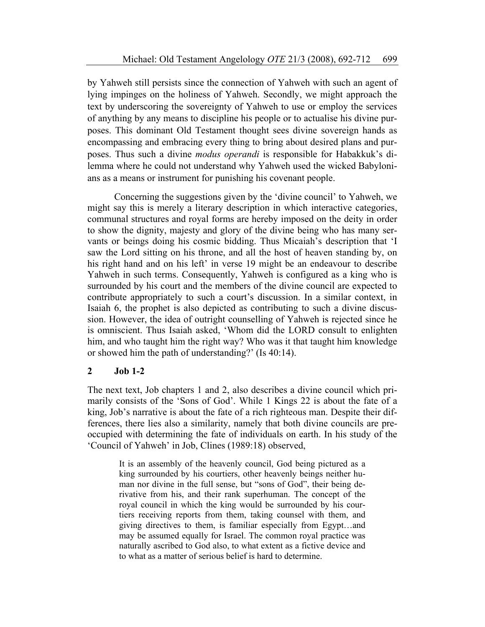by Yahweh still persists since the connection of Yahweh with such an agent of lying impinges on the holiness of Yahweh. Secondly, we might approach the text by underscoring the sovereignty of Yahweh to use or employ the services of anything by any means to discipline his people or to actualise his divine purposes. This dominant Old Testament thought sees divine sovereign hands as encompassing and embracing every thing to bring about desired plans and purposes. Thus such a divine *modus operandi* is responsible for Habakkuk's dilemma where he could not understand why Yahweh used the wicked Babylonians as a means or instrument for punishing his covenant people.

Concerning the suggestions given by the 'divine council' to Yahweh, we might say this is merely a literary description in which interactive categories, communal structures and royal forms are hereby imposed on the deity in order to show the dignity, majesty and glory of the divine being who has many servants or beings doing his cosmic bidding. Thus Micaiah's description that 'I saw the Lord sitting on his throne, and all the host of heaven standing by, on his right hand and on his left' in verse 19 might be an endeavour to describe Yahweh in such terms. Consequently, Yahweh is configured as a king who is surrounded by his court and the members of the divine council are expected to contribute appropriately to such a court's discussion. In a similar context, in Isaiah 6, the prophet is also depicted as contributing to such a divine discussion. However, the idea of outright counselling of Yahweh is rejected since he is omniscient. Thus Isaiah asked, 'Whom did the LORD consult to enlighten him, and who taught him the right way? Who was it that taught him knowledge or showed him the path of understanding?' (Is 40:14).

#### **2 Job 1-2**

The next text, Job chapters 1 and 2, also describes a divine council which primarily consists of the 'Sons of God'. While 1 Kings 22 is about the fate of a king, Job's narrative is about the fate of a rich righteous man. Despite their differences, there lies also a similarity, namely that both divine councils are preoccupied with determining the fate of individuals on earth. In his study of the 'Council of Yahweh' in Job, Clines (1989:18) observed,

It is an assembly of the heavenly council, God being pictured as a king surrounded by his courtiers, other heavenly beings neither human nor divine in the full sense, but "sons of God", their being derivative from his, and their rank superhuman. The concept of the royal council in which the king would be surrounded by his courtiers receiving reports from them, taking counsel with them, and giving directives to them, is familiar especially from Egypt…and may be assumed equally for Israel. The common royal practice was naturally ascribed to God also, to what extent as a fictive device and to what as a matter of serious belief is hard to determine.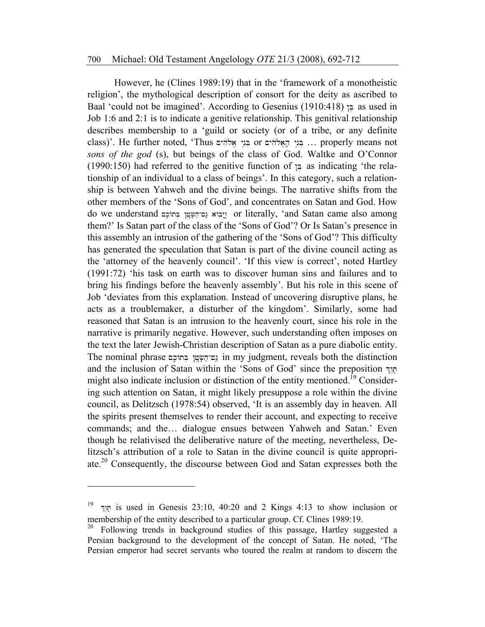However, he (Clines 1989:19) that in the 'framework of a monotheistic religion', the mythological description of consort for the deity as ascribed to Baal 'could not be imagined'. According to Gesenius (1910:418)  $\ge$  as used in Job 1:6 and 2:1 is to indicate a genitive relationship. This genitival relationship describes membership to a 'guild or society (or of a tribe, or any definite class)'. He further noted, 'Thus בְּנֵי אֱלֹהִים or בְּנֵי הָאֱלֹהִים... בְּנֵי הָאֲלֹהִים... בִּנֵי הַאֲלֹהִי *sons of the god* (s), but beings of the class of God. Waltke and O'Connor  $(1990:150)$  had referred to the genitive function of  $\epsilon$  as indicating 'the relationship of an individual to a class of beings'. In this category, such a relationship is between Yahweh and the divine beings. The narrative shifts from the other members of the 'Sons of God', and concentrates on Satan and God. How do we understand  $_{1}$ ניבוֹא  $_{2}$  or literally, 'and Satan came also among them?' Is Satan part of the class of the 'Sons of God'? Or Is Satan's presence in this assembly an intrusion of the gathering of the 'Sons of God'? This difficulty has generated the speculation that Satan is part of the divine council acting as the 'attorney of the heavenly council'. 'If this view is correct', noted Hartley (1991:72) 'his task on earth was to discover human sins and failures and to bring his findings before the heavenly assembly'. But his role in this scene of Job 'deviates from this explanation. Instead of uncovering disruptive plans, he acts as a troublemaker, a disturber of the kingdom'. Similarly, some had reasoned that Satan is an intrusion to the heavenly court, since his role in the narrative is primarily negative. However, such understanding often imposes on the text the later Jewish-Christian description of Satan as a pure diabolic entity. The nominal phrase נס־הַשָּׂטֵן בְּחוֹכָם in my judgment, reveals both the distinction and the inclusion of Satan within the 'Sons of God' since the preposition  $\nabla$ might also indicate inclusion or distinction of the entity mentioned.<sup>19</sup> Considering such attention on Satan, it might likely presuppose a role within the divine council, as Delitzsch (1978:54) observed, 'It is an assembly day in heaven. All the spirits present themselves to render their account, and expecting to receive commands; and the… dialogue ensues between Yahweh and Satan.' Even though he relativised the deliberative nature of the meeting, nevertheless, Delitzsch's attribution of a role to Satan in the divine council is quite appropriate.20 Consequently, the discourse between God and Satan expresses both the

<sup>19</sup>  $\mu$  is used in Genesis 23:10, 40:20 and 2 Kings 4:13 to show inclusion or membership of the entity described to a particular group. Cf. Clines 1989:19.

<sup>20</sup> Following trends in background studies of this passage, Hartley suggested a Persian background to the development of the concept of Satan. He noted, 'The Persian emperor had secret servants who toured the realm at random to discern the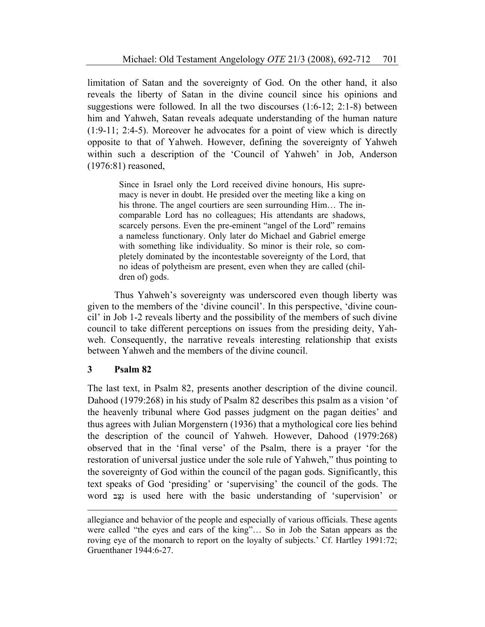limitation of Satan and the sovereignty of God. On the other hand, it also reveals the liberty of Satan in the divine council since his opinions and suggestions were followed. In all the two discourses (1:6-12; 2:1-8) between him and Yahweh, Satan reveals adequate understanding of the human nature (1:9-11; 2:4-5). Moreover he advocates for a point of view which is directly opposite to that of Yahweh. However, defining the sovereignty of Yahweh within such a description of the 'Council of Yahweh' in Job, Anderson (1976:81) reasoned,

Since in Israel only the Lord received divine honours, His supremacy is never in doubt. He presided over the meeting like a king on his throne. The angel courtiers are seen surrounding Him… The incomparable Lord has no colleagues; His attendants are shadows, scarcely persons. Even the pre-eminent "angel of the Lord" remains a nameless functionary. Only later do Michael and Gabriel emerge with something like individuality. So minor is their role, so completely dominated by the incontestable sovereignty of the Lord, that no ideas of polytheism are present, even when they are called (children of) gods.

Thus Yahweh's sovereignty was underscored even though liberty was given to the members of the 'divine council'. In this perspective, 'divine council' in Job 1-2 reveals liberty and the possibility of the members of such divine council to take different perceptions on issues from the presiding deity, Yahweh. Consequently, the narrative reveals interesting relationship that exists between Yahweh and the members of the divine council.

#### **3 Psalm 82**

 $\overline{a}$ 

The last text, in Psalm 82, presents another description of the divine council. Dahood (1979:268) in his study of Psalm 82 describes this psalm as a vision 'of the heavenly tribunal where God passes judgment on the pagan deities' and thus agrees with Julian Morgenstern (1936) that a mythological core lies behind the description of the council of Yahweh. However, Dahood (1979:268) observed that in the 'final verse' of the Psalm, there is a prayer 'for the restoration of universal justice under the sole rule of Yahweh," thus pointing to the sovereignty of God within the council of the pagan gods. Significantly, this text speaks of God 'presiding' or 'supervising' the council of the gods. The word is used here with the basic understanding of 'supervision' or

allegiance and behavior of the people and especially of various officials. These agents were called "the eyes and ears of the king"… So in Job the Satan appears as the roving eye of the monarch to report on the loyalty of subjects.' Cf. Hartley 1991:72; Gruenthaner 1944:6-27.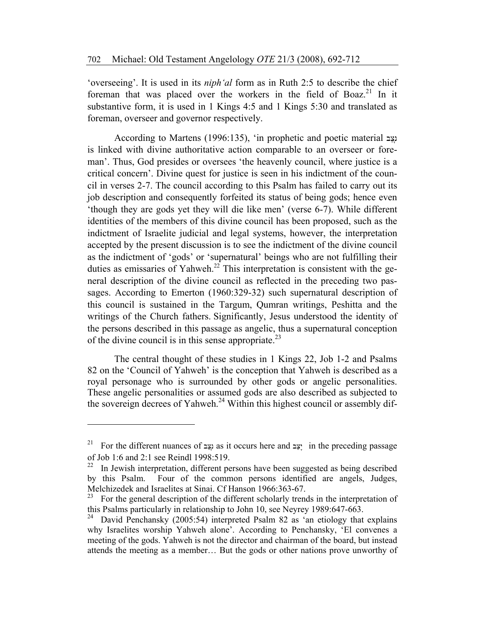'overseeing'. It is used in its *niph'al* form as in Ruth 2:5 to describe the chief foreman that was placed over the workers in the field of Boaz.<sup>21</sup> In it substantive form, it is used in 1 Kings 4:5 and 1 Kings 5:30 and translated as foreman, overseer and governor respectively.

According to Martens (1996:135), 'in prophetic and poetic material is: is linked with divine authoritative action comparable to an overseer or foreman'. Thus, God presides or oversees 'the heavenly council, where justice is a critical concern'. Divine quest for justice is seen in his indictment of the council in verses 2-7. The council according to this Psalm has failed to carry out its job description and consequently forfeited its status of being gods; hence even 'though they are gods yet they will die like men' (verse 6-7). While different identities of the members of this divine council has been proposed, such as the indictment of Israelite judicial and legal systems, however, the interpretation accepted by the present discussion is to see the indictment of the divine council as the indictment of 'gods' or 'supernatural' beings who are not fulfilling their duties as emissaries of Yahweh.<sup>22</sup> This interpretation is consistent with the general description of the divine council as reflected in the preceding two passages. According to Emerton (1960:329-32) such supernatural description of this council is sustained in the Targum, Qumran writings, Peshitta and the writings of the Church fathers. Significantly, Jesus understood the identity of the persons described in this passage as angelic, thus a supernatural conception of the divine council is in this sense appropriate.<sup>23</sup>

 The central thought of these studies in 1 Kings 22, Job 1-2 and Psalms 82 on the 'Council of Yahweh' is the conception that Yahweh is described as a royal personage who is surrounded by other gods or angelic personalities. These angelic personalities or assumed gods are also described as subjected to the sovereign decrees of Yahweh.<sup>24</sup> Within this highest council or assembly dif-

<sup>&</sup>lt;sup>21</sup> For the different nuances of بيّد as it occurs here and  $\frac{1}{2}$ ; " in the preceding passage of Job 1:6 and 2:1 see Reindl 1998:519.

<sup>&</sup>lt;sup>22</sup> In Jewish interpretation, different persons have been suggested as being described by this Psalm. Four of the common persons identified are angels, Judges, Melchizedek and Israelites at Sinai. Cf Hanson 1966:363-67.<br><sup>23</sup> For the general description of the different scholarly treng

<sup>23</sup> For the general description of the different scholarly trends in the interpretation of this Psalms particularly in relationship to John 10, see Neyrey 1989:647-663.

<sup>&</sup>lt;sup>24</sup> David Penchansky (2005:54) interpreted Psalm 82 as 'an etiology that explains why Israelites worship Yahweh alone'. According to Penchansky, 'El convenes a meeting of the gods. Yahweh is not the director and chairman of the board, but instead attends the meeting as a member… But the gods or other nations prove unworthy of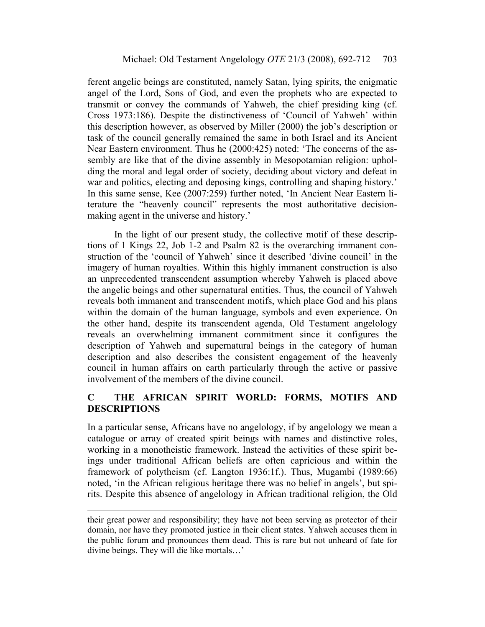ferent angelic beings are constituted, namely Satan, lying spirits, the enigmatic angel of the Lord, Sons of God, and even the prophets who are expected to transmit or convey the commands of Yahweh, the chief presiding king (cf. Cross 1973:186). Despite the distinctiveness of 'Council of Yahweh' within this description however, as observed by Miller (2000) the job's description or task of the council generally remained the same in both Israel and its Ancient Near Eastern environment. Thus he (2000:425) noted: 'The concerns of the assembly are like that of the divine assembly in Mesopotamian religion: upholding the moral and legal order of society, deciding about victory and defeat in war and politics, electing and deposing kings, controlling and shaping history.' In this same sense, Kee (2007:259) further noted, 'In Ancient Near Eastern literature the "heavenly council" represents the most authoritative decisionmaking agent in the universe and history.'

In the light of our present study, the collective motif of these descriptions of 1 Kings 22, Job 1-2 and Psalm 82 is the overarching immanent construction of the 'council of Yahweh' since it described 'divine council' in the imagery of human royalties. Within this highly immanent construction is also an unprecedented transcendent assumption whereby Yahweh is placed above the angelic beings and other supernatural entities. Thus, the council of Yahweh reveals both immanent and transcendent motifs, which place God and his plans within the domain of the human language, symbols and even experience. On the other hand, despite its transcendent agenda, Old Testament angelology reveals an overwhelming immanent commitment since it configures the description of Yahweh and supernatural beings in the category of human description and also describes the consistent engagement of the heavenly council in human affairs on earth particularly through the active or passive involvement of the members of the divine council.

## **C THE AFRICAN SPIRIT WORLD: FORMS, MOTIFS AND DESCRIPTIONS**

In a particular sense, Africans have no angelology, if by angelology we mean a catalogue or array of created spirit beings with names and distinctive roles, working in a monotheistic framework. Instead the activities of these spirit beings under traditional African beliefs are often capricious and within the framework of polytheism (cf. Langton 1936:1f.). Thus, Mugambi (1989:66) noted, 'in the African religious heritage there was no belief in angels', but spirits. Despite this absence of angelology in African traditional religion, the Old

their great power and responsibility; they have not been serving as protector of their domain, nor have they promoted justice in their client states. Yahweh accuses them in the public forum and pronounces them dead. This is rare but not unheard of fate for divine beings. They will die like mortals…'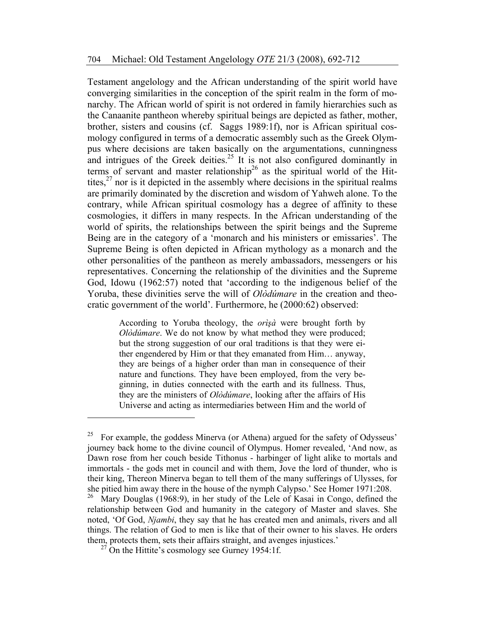Testament angelology and the African understanding of the spirit world have converging similarities in the conception of the spirit realm in the form of monarchy. The African world of spirit is not ordered in family hierarchies such as the Canaanite pantheon whereby spiritual beings are depicted as father, mother, brother, sisters and cousins (cf. Saggs 1989:1f), nor is African spiritual cosmology configured in terms of a democratic assembly such as the Greek Olympus where decisions are taken basically on the argumentations, cunningness and intrigues of the Greek deities.<sup>25</sup> It is not also configured dominantly in terms of servant and master relationship<sup>26</sup> as the spiritual world of the Hittites, $27$  nor is it depicted in the assembly where decisions in the spiritual realms are primarily dominated by the discretion and wisdom of Yahweh alone. To the contrary, while African spiritual cosmology has a degree of affinity to these cosmologies, it differs in many respects. In the African understanding of the world of spirits, the relationships between the spirit beings and the Supreme Being are in the category of a 'monarch and his ministers or emissaries'. The Supreme Being is often depicted in African mythology as a monarch and the other personalities of the pantheon as merely ambassadors, messengers or his representatives. Concerning the relationship of the divinities and the Supreme God, Idowu (1962:57) noted that 'according to the indigenous belief of the Yoruba, these divinities serve the will of *Olòdúmare* in the creation and theocratic government of the world'. Furthermore, he (2000:62) observed:

> According to Yoruba theology, the *orìşà* were brought forth by *Olòdúmare*. We do not know by what method they were produced; but the strong suggestion of our oral traditions is that they were either engendered by Him or that they emanated from Him… anyway, they are beings of a higher order than man in consequence of their nature and functions. They have been employed, from the very beginning, in duties connected with the earth and its fullness. Thus, they are the ministers of *Olòdúmare*, looking after the affairs of His Universe and acting as intermediaries between Him and the world of

<sup>&</sup>lt;sup>25</sup> For example, the goddess Minerva (or Athena) argued for the safety of Odysseus' journey back home to the divine council of Olympus. Homer revealed, 'And now, as Dawn rose from her couch beside Tithonus - harbinger of light alike to mortals and immortals - the gods met in council and with them, Jove the lord of thunder, who is their king, Thereon Minerva began to tell them of the many sufferings of Ulysses, for she pitied him away there in the house of the nymph Calypso.' See Homer 1971:208.<br><sup>26</sup> Mary Douglas (1968:9) in her study of the Lele of Kasai in Congo, defined the Mary Douglas (1968:9), in her study of the Lele of Kasai in Congo, defined the relationship between God and humanity in the category of Master and slaves. She noted, 'Of God, *Njambi*, they say that he has created men and animals, rivers and all things. The relation of God to men is like that of their owner to his slaves. He orders them, protects them, sets their affairs straight, and avenges injustices.'

 $27$  On the Hittite's cosmology see Gurney 1954:1f.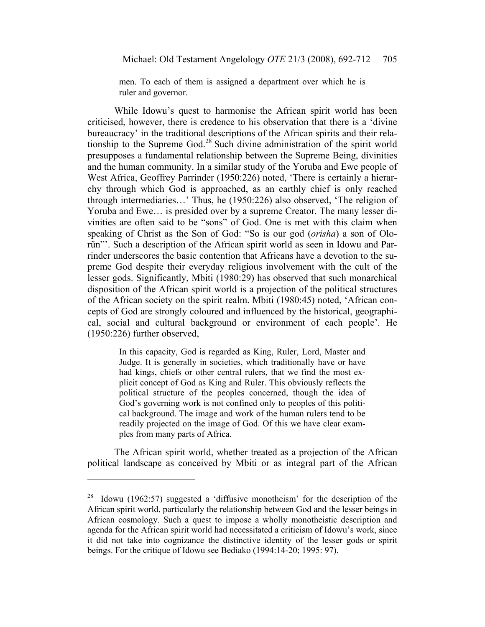men. To each of them is assigned a department over which he is ruler and governor.

While Idowu's quest to harmonise the African spirit world has been criticised, however, there is credence to his observation that there is a 'divine bureaucracy' in the traditional descriptions of the African spirits and their relationship to the Supreme God.<sup>28</sup> Such divine administration of the spirit world presupposes a fundamental relationship between the Supreme Being, divinities and the human community. In a similar study of the Yoruba and Ewe people of West Africa, Geoffrey Parrinder (1950:226) noted, 'There is certainly a hierarchy through which God is approached, as an earthly chief is only reached through intermediaries…' Thus, he (1950:226) also observed, 'The religion of Yoruba and Ewe… is presided over by a supreme Creator. The many lesser divinities are often said to be "sons" of God. One is met with this claim when speaking of Christ as the Son of God: "So is our god (*orisha*) a son of Olorũn"'. Such a description of the African spirit world as seen in Idowu and Parrinder underscores the basic contention that Africans have a devotion to the supreme God despite their everyday religious involvement with the cult of the lesser gods. Significantly, Mbiti (1980:29) has observed that such monarchical disposition of the African spirit world is a projection of the political structures of the African society on the spirit realm. Mbiti (1980:45) noted, 'African concepts of God are strongly coloured and influenced by the historical, geographical, social and cultural background or environment of each people'. He (1950:226) further observed,

> In this capacity, God is regarded as King, Ruler, Lord, Master and Judge. It is generally in societies, which traditionally have or have had kings, chiefs or other central rulers, that we find the most explicit concept of God as King and Ruler. This obviously reflects the political structure of the peoples concerned, though the idea of God's governing work is not confined only to peoples of this political background. The image and work of the human rulers tend to be readily projected on the image of God. Of this we have clear examples from many parts of Africa.

The African spirit world, whether treated as a projection of the African political landscape as conceived by Mbiti or as integral part of the African

<sup>&</sup>lt;sup>28</sup> Idowu (1962:57) suggested a 'diffusive monotheism' for the description of the African spirit world, particularly the relationship between God and the lesser beings in African cosmology. Such a quest to impose a wholly monotheistic description and agenda for the African spirit world had necessitated a criticism of Idowu's work, since it did not take into cognizance the distinctive identity of the lesser gods or spirit beings. For the critique of Idowu see Bediako (1994:14-20; 1995: 97).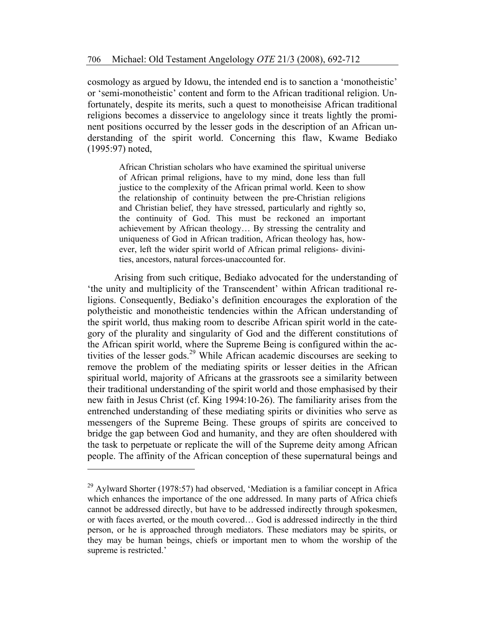cosmology as argued by Idowu, the intended end is to sanction a 'monotheistic' or 'semi-monotheistic' content and form to the African traditional religion. Unfortunately, despite its merits, such a quest to monotheisise African traditional religions becomes a disservice to angelology since it treats lightly the prominent positions occurred by the lesser gods in the description of an African understanding of the spirit world. Concerning this flaw, Kwame Bediako (1995:97) noted,

> African Christian scholars who have examined the spiritual universe of African primal religions, have to my mind, done less than full justice to the complexity of the African primal world. Keen to show the relationship of continuity between the pre-Christian religions and Christian belief, they have stressed, particularly and rightly so, the continuity of God. This must be reckoned an important achievement by African theology… By stressing the centrality and uniqueness of God in African tradition, African theology has, however, left the wider spirit world of African primal religions- divinities, ancestors, natural forces-unaccounted for.

Arising from such critique, Bediako advocated for the understanding of 'the unity and multiplicity of the Transcendent' within African traditional religions. Consequently, Bediako's definition encourages the exploration of the polytheistic and monotheistic tendencies within the African understanding of the spirit world, thus making room to describe African spirit world in the category of the plurality and singularity of God and the different constitutions of the African spirit world, where the Supreme Being is configured within the activities of the lesser gods.<sup>29</sup> While African academic discourses are seeking to remove the problem of the mediating spirits or lesser deities in the African spiritual world, majority of Africans at the grassroots see a similarity between their traditional understanding of the spirit world and those emphasised by their new faith in Jesus Christ (cf. King 1994:10-26). The familiarity arises from the entrenched understanding of these mediating spirits or divinities who serve as messengers of the Supreme Being. These groups of spirits are conceived to bridge the gap between God and humanity, and they are often shouldered with the task to perpetuate or replicate the will of the Supreme deity among African people. The affinity of the African conception of these supernatural beings and

 $^{29}$  Aylward Shorter (1978:57) had observed, 'Mediation is a familiar concept in Africa which enhances the importance of the one addressed. In many parts of Africa chiefs cannot be addressed directly, but have to be addressed indirectly through spokesmen, or with faces averted, or the mouth covered… God is addressed indirectly in the third person, or he is approached through mediators. These mediators may be spirits, or they may be human beings, chiefs or important men to whom the worship of the supreme is restricted.'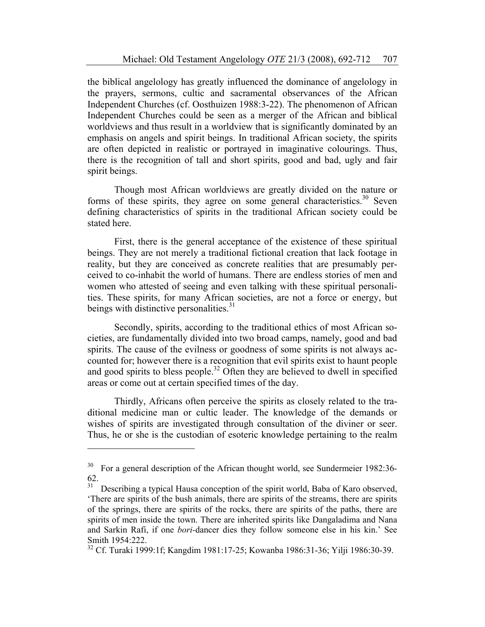the biblical angelology has greatly influenced the dominance of angelology in the prayers, sermons, cultic and sacramental observances of the African Independent Churches (cf. Oosthuizen 1988:3-22). The phenomenon of African Independent Churches could be seen as a merger of the African and biblical worldviews and thus result in a worldview that is significantly dominated by an emphasis on angels and spirit beings. In traditional African society, the spirits are often depicted in realistic or portrayed in imaginative colourings. Thus, there is the recognition of tall and short spirits, good and bad, ugly and fair spirit beings.

Though most African worldviews are greatly divided on the nature or forms of these spirits, they agree on some general characteristics.<sup>30</sup> Seven defining characteristics of spirits in the traditional African society could be stated here.

First, there is the general acceptance of the existence of these spiritual beings. They are not merely a traditional fictional creation that lack footage in reality, but they are conceived as concrete realities that are presumably perceived to co-inhabit the world of humans. There are endless stories of men and women who attested of seeing and even talking with these spiritual personalities. These spirits, for many African societies, are not a force or energy, but beings with distinctive personalities. $31$ 

Secondly, spirits, according to the traditional ethics of most African societies, are fundamentally divided into two broad camps, namely, good and bad spirits. The cause of the evilness or goodness of some spirits is not always accounted for; however there is a recognition that evil spirits exist to haunt people and good spirits to bless people.<sup>32</sup> Often they are believed to dwell in specified areas or come out at certain specified times of the day.

Thirdly, Africans often perceive the spirits as closely related to the traditional medicine man or cultic leader. The knowledge of the demands or wishes of spirits are investigated through consultation of the diviner or seer. Thus, he or she is the custodian of esoteric knowledge pertaining to the realm

<sup>&</sup>lt;sup>30</sup> For a general description of the African thought world, see Sundermeier 1982:36-62.

<sup>&</sup>lt;sup>31</sup> Describing a typical Hausa conception of the spirit world, Baba of Karo observed, 'There are spirits of the bush animals, there are spirits of the streams, there are spirits of the springs, there are spirits of the rocks, there are spirits of the paths, there are spirits of men inside the town. There are inherited spirits like Dangaladima and Nana and Sarkin Rafi, if one *bori-*dancer dies they follow someone else in his kin.' See Smith 1954:222.

<sup>32</sup> Cf. Turaki 1999:1f; Kangdim 1981:17-25; Kowanba 1986:31-36; Yilji 1986:30-39.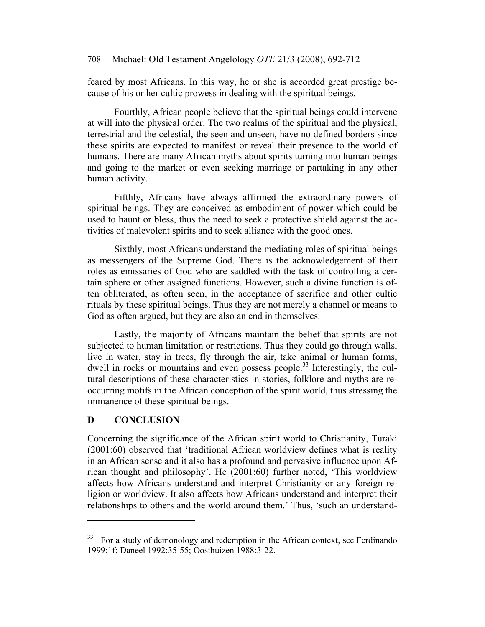feared by most Africans. In this way, he or she is accorded great prestige because of his or her cultic prowess in dealing with the spiritual beings.

Fourthly, African people believe that the spiritual beings could intervene at will into the physical order. The two realms of the spiritual and the physical, terrestrial and the celestial, the seen and unseen, have no defined borders since these spirits are expected to manifest or reveal their presence to the world of humans. There are many African myths about spirits turning into human beings and going to the market or even seeking marriage or partaking in any other human activity.

Fifthly, Africans have always affirmed the extraordinary powers of spiritual beings. They are conceived as embodiment of power which could be used to haunt or bless, thus the need to seek a protective shield against the activities of malevolent spirits and to seek alliance with the good ones.

Sixthly, most Africans understand the mediating roles of spiritual beings as messengers of the Supreme God. There is the acknowledgement of their roles as emissaries of God who are saddled with the task of controlling a certain sphere or other assigned functions. However, such a divine function is often obliterated, as often seen, in the acceptance of sacrifice and other cultic rituals by these spiritual beings. Thus they are not merely a channel or means to God as often argued, but they are also an end in themselves.

Lastly, the majority of Africans maintain the belief that spirits are not subjected to human limitation or restrictions. Thus they could go through walls, live in water, stay in trees, fly through the air, take animal or human forms, dwell in rocks or mountains and even possess people.<sup>33</sup> Interestingly, the cultural descriptions of these characteristics in stories, folklore and myths are reoccurring motifs in the African conception of the spirit world, thus stressing the immanence of these spiritual beings.

#### **D CONCLUSION**

Concerning the significance of the African spirit world to Christianity, Turaki (2001:60) observed that 'traditional African worldview defines what is reality in an African sense and it also has a profound and pervasive influence upon African thought and philosophy'. He (2001:60) further noted, 'This worldview affects how Africans understand and interpret Christianity or any foreign religion or worldview. It also affects how Africans understand and interpret their relationships to others and the world around them.' Thus, 'such an understand-

<sup>&</sup>lt;sup>33</sup> For a study of demonology and redemption in the African context, see Ferdinando 1999:1f; Daneel 1992:35-55; Oosthuizen 1988:3-22.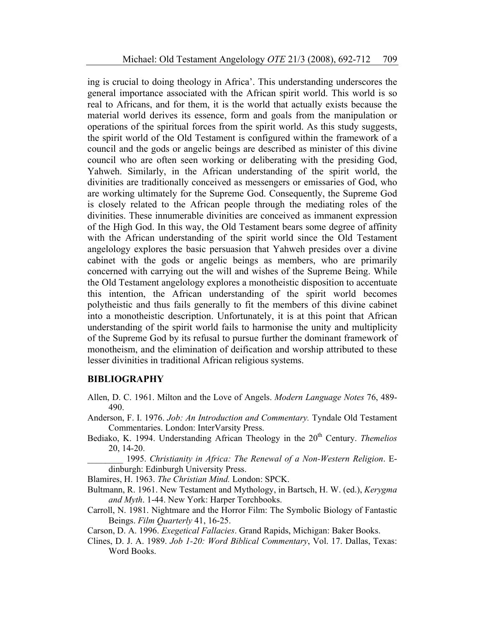ing is crucial to doing theology in Africa'. This understanding underscores the general importance associated with the African spirit world. This world is so real to Africans, and for them, it is the world that actually exists because the material world derives its essence, form and goals from the manipulation or operations of the spiritual forces from the spirit world. As this study suggests, the spirit world of the Old Testament is configured within the framework of a council and the gods or angelic beings are described as minister of this divine council who are often seen working or deliberating with the presiding God, Yahweh. Similarly, in the African understanding of the spirit world, the divinities are traditionally conceived as messengers or emissaries of God, who are working ultimately for the Supreme God. Consequently, the Supreme God is closely related to the African people through the mediating roles of the divinities. These innumerable divinities are conceived as immanent expression of the High God. In this way, the Old Testament bears some degree of affinity with the African understanding of the spirit world since the Old Testament angelology explores the basic persuasion that Yahweh presides over a divine cabinet with the gods or angelic beings as members, who are primarily concerned with carrying out the will and wishes of the Supreme Being. While the Old Testament angelology explores a monotheistic disposition to accentuate this intention, the African understanding of the spirit world becomes polytheistic and thus fails generally to fit the members of this divine cabinet into a monotheistic description. Unfortunately, it is at this point that African understanding of the spirit world fails to harmonise the unity and multiplicity of the Supreme God by its refusal to pursue further the dominant framework of monotheism, and the elimination of deification and worship attributed to these lesser divinities in traditional African religious systems.

#### **BIBLIOGRAPHY**

- Allen, D. C. 1961. Milton and the Love of Angels. *Modern Language Notes* 76, 489- 490.
- Anderson, F. I. 1976. *Job: An Introduction and Commentary.* Tyndale Old Testament Commentaries. London: InterVarsity Press.
- Bediako, K. 1994. Understanding African Theology in the 20<sup>th</sup> Century. *Themelios* 20, 14-20.

\_\_\_\_\_\_\_\_ 1995. *Christianity in Africa: The Renewal of a Non-Western Religion*. Edinburgh: Edinburgh University Press.

Blamires, H. 1963. *The Christian Mind.* London: SPCK.

- Bultmann, R. 1961. New Testament and Mythology, in Bartsch, H. W. (ed.), *Kerygma and Myth*. 1-44. New York: Harper Torchbooks.
- Carroll, N. 1981. Nightmare and the Horror Film: The Symbolic Biology of Fantastic Beings. *Film Quarterly* 41, 16-25.

Carson, D. A. 1996. *Exegetical Fallacies*. Grand Rapids, Michigan: Baker Books.

Clines, D. J. A. 1989. *Job 1-20: Word Biblical Commentary*, Vol. 17. Dallas, Texas: Word Books.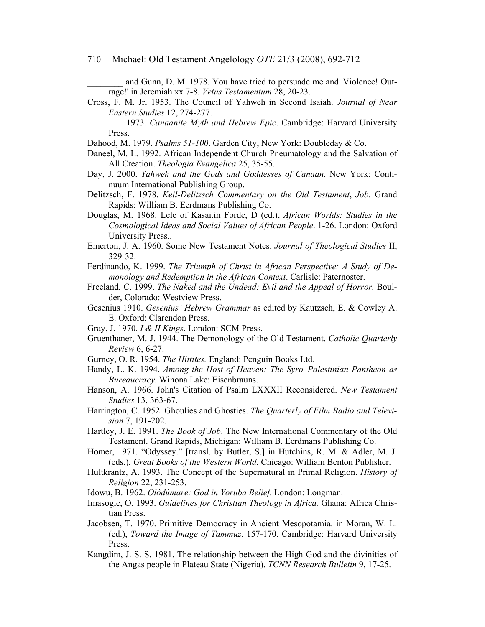and Gunn, D. M. 1978. You have tried to persuade me and 'Violence! Outrage!' in Jeremiah xx 7-8. *Vetus Testamentum* 28, 20-23.

- Cross, F. M. Jr. 1953. The Council of Yahweh in Second Isaiah. *Journal of Near Eastern Studies* 12, 274-277.
	- \_\_\_\_\_\_\_\_ 1973. *Canaanite Myth and Hebrew Epic*. Cambridge: Harvard University Press.
- Dahood, M. 1979. *Psalms 51-100*. Garden City, New York: Doubleday & Co.
- Daneel, M. L. 1992. African Independent Church Pneumatology and the Salvation of All Creation. *Theologia Evangelica* 25, 35-55.
- Day, J. 2000. *Yahweh and the Gods and Goddesses of Canaan.* New York: Continuum International Publishing Group.
- Delitzsch, F. 1978. *Keil-Delitzsch Commentary on the Old Testament*, *Job.* Grand Rapids: William B. Eerdmans Publishing Co.
- Douglas, M. 1968. Lele of Kasai.in Forde, D (ed.), *African Worlds: Studies in the Cosmological Ideas and Social Values of African People*. 1-26. London: Oxford University Press..
- Emerton, J. A. 1960. Some New Testament Notes. *Journal of Theological Studies* II, 329-32.
- Ferdinando, K. 1999. *The Triumph of Christ in African Perspective: A Study of Demonology and Redemption in the African Context*. Carlisle: Paternoster.
- Freeland, C. 1999. *The Naked and the Undead: Evil and the Appeal of Horror.* Boulder, Colorado: Westview Press.
- Gesenius 1910. *Gesenius' Hebrew Grammar* as edited by Kautzsch, E. & Cowley A. E. Oxford: Clarendon Press.
- Gray, J. 1970. *I & II Kings*. London: SCM Press.
- Gruenthaner, M. J. 1944. The Demonology of the Old Testament. *Catholic Quarterly Review* 6, 6-27.
- Gurney, O. R. 1954. *The Hittites.* England: Penguin Books Ltd.
- Handy, L. K. 1994. *Among the Host of Heaven: The Syro–Palestinian Pantheon as Bureaucracy*. Winona Lake: Eisenbrauns.
- Hanson, A. 1966. John's Citation of Psalm LXXXII Reconsidered. *New Testament Studies* 13, 363-67.
- Harrington, C. 1952. Ghoulies and Ghosties. *The Quarterly of Film Radio and Television* 7, 191-202.
- Hartley, J. E. 1991. *The Book of Job*. The New International Commentary of the Old Testament. Grand Rapids, Michigan: William B. Eerdmans Publishing Co.
- Homer, 1971. "Odyssey." [transl. by Butler, S.] in Hutchins, R. M. & Adler, M. J. (eds.), *Great Books of the Western World*, Chicago: William Benton Publisher.
- Hultkrantz, A. 1993. The Concept of the Supernatural in Primal Religion. *History of Religion* 22, 231-253.
- Idowu, B. 1962. *Olòdúmare: God in Yoruba Belief*. London: Longman.
- Imasogie, O. 1993. *Guidelines for Christian Theology in Africa.* Ghana: Africa Christian Press.
- Jacobsen, T. 1970. Primitive Democracy in Ancient Mesopotamia. in Moran, W. L. (ed.), *Toward the Image of Tammuz*. 157-170. Cambridge: Harvard University Press.
- Kangdim, J. S. S. 1981. The relationship between the High God and the divinities of the Angas people in Plateau State (Nigeria). *TCNN Research Bulletin* 9, 17-25.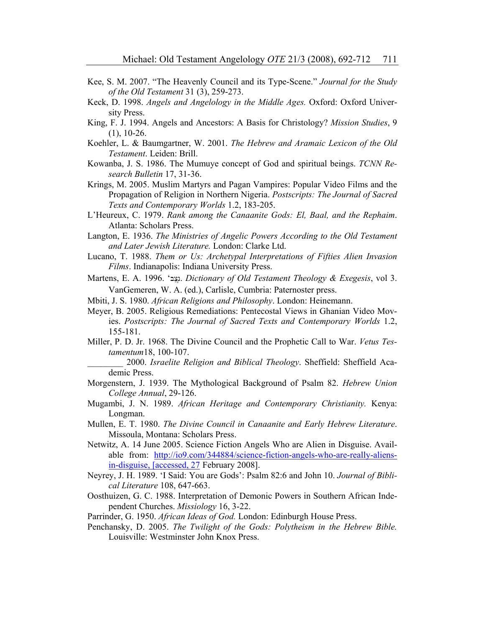- Kee, S. M. 2007. "The Heavenly Council and its Type-Scene." *Journal for the Study of the Old Testament* 31 (3), 259-273.
- Keck, D. 1998. *Angels and Angelology in the Middle Ages.* Oxford: Oxford University Press.
- King, F. J. 1994. Angels and Ancestors: A Basis for Christology? *Mission Studies*, 9  $(1)$ , 10-26.
- Koehler, L. & Baumgartner, W. 2001. *The Hebrew and Aramaic Lexicon of the Old Testament*. Leiden: Brill.
- Kowanba, J. S. 1986. The Mumuye concept of God and spiritual beings. *TCNN Research Bulletin* 17, 31-36.
- Krings, M. 2005. Muslim Martyrs and Pagan Vampires: Popular Video Films and the Propagation of Religion in Northern Nigeria. *Postscripts: The Journal of Sacred Texts and Contemporary Worlds* 1.2, 183-205.
- L'Heureux, C. 1979. *Rank among the Canaanite Gods: El, Baal, and the Rephaim*. Atlanta: Scholars Press.
- Langton, E. 1936. *The Ministries of Angelic Powers According to the Old Testament and Later Jewish Literature.* London: Clarke Ltd.
- Lucano, T. 1988. *Them or Us: Archetypal Interpretations of Fifties Alien Invasion Films*. Indianapolis: Indiana University Press.
- Martens, E. A. 1996. 'izcionary of Old Testament Theology & Exegesis, vol 3. VanGemeren, W. A. (ed.), Carlisle, Cumbria: Paternoster press.
- Mbiti, J. S. 1980. *African Religions and Philosophy*. London: Heinemann.
- Meyer, B. 2005. Religious Remediations: Pentecostal Views in Ghanian Video Movies. *Postscripts: The Journal of Sacred Texts and Contemporary Worlds* 1.2, 155-181.
- Miller, P. D. Jr. 1968. The Divine Council and the Prophetic Call to War. *Vetus Testamentum*18, 100-107.
	- \_\_\_\_\_\_\_\_ 2000. *Israelite Religion and Biblical Theology*. Sheffield: Sheffield Academic Press.
- Morgenstern, J. 1939. The Mythological Background of Psalm 82. *Hebrew Union College Annual*, 29-126.
- Mugambi, J. N. 1989. *African Heritage and Contemporary Christianity.* Kenya: Longman.
- Mullen, E. T. 1980. *The Divine Council in Canaanite and Early Hebrew Literature*. Missoula, Montana: Scholars Press.
- Netwitz, A. 14 June 2005. Science Fiction Angels Who are Alien in Disguise. Available from: http://io9.com/344884/science-fiction-angels-who-are-really-aliensin-disguise, [accessed, 27 February 2008].
- Neyrey, J. H. 1989. 'I Said: You are Gods': Psalm 82:6 and John 10. *Journal of Biblical Literature* 108, 647-663.
- Oosthuizen, G. C. 1988. Interpretation of Demonic Powers in Southern African Independent Churches. *Missiology* 16, 3-22.
- Parrinder, G. 1950. *African Ideas of God.* London: Edinburgh House Press.
- Penchansky, D. 2005. *The Twilight of the Gods: Polytheism in the Hebrew Bible.*  Louisville: Westminster John Knox Press.